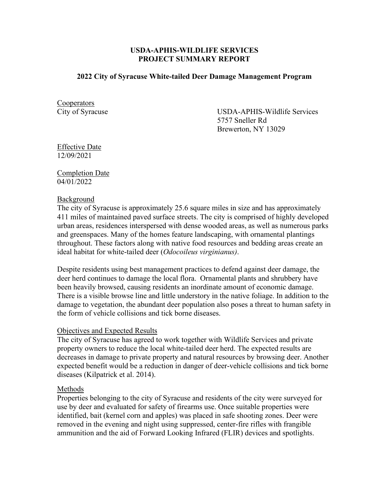## **USDA-APHIS-WILDLIFE SERVICES PROJECT SUMMARY REPORT**

### **2022 City of Syracuse White-tailed Deer Damage Management Program**

**Cooperators** 

City of Syracuse USDA-APHIS-Wildlife Services 5757 Sneller Rd Brewerton, NY 13029

Effective Date 12/09/2021

## Completion Date 04/01/2022

### Background

The city of Syracuse is approximately 25.6 square miles in size and has approximately 411 miles of maintained paved surface streets. The city is comprised of highly developed urban areas, residences interspersed with dense wooded areas, as well as numerous parks and greenspaces. Many of the homes feature landscaping, with ornamental plantings throughout. These factors along with native food resources and bedding areas create an ideal habitat for white-tailed deer (*Odocoileus virginianus)*.

Despite residents using best management practices to defend against deer damage, the deer herd continues to damage the local flora. Ornamental plants and shrubbery have been heavily browsed, causing residents an inordinate amount of economic damage. There is a visible browse line and little understory in the native foliage. In addition to the damage to vegetation, the abundant deer population also poses a threat to human safety in the form of vehicle collisions and tick borne diseases.

#### Objectives and Expected Results

The city of Syracuse has agreed to work together with Wildlife Services and private property owners to reduce the local white-tailed deer herd. The expected results are decreases in damage to private property and natural resources by browsing deer. Another expected benefit would be a reduction in danger of deer-vehicle collisions and tick borne diseases (Kilpatrick et al. 2014).

#### Methods

Properties belonging to the city of Syracuse and residents of the city were surveyed for use by deer and evaluated for safety of firearms use. Once suitable properties were identified, bait (kernel corn and apples) was placed in safe shooting zones. Deer were removed in the evening and night using suppressed, center-fire rifles with frangible ammunition and the aid of Forward Looking Infrared (FLIR) devices and spotlights.